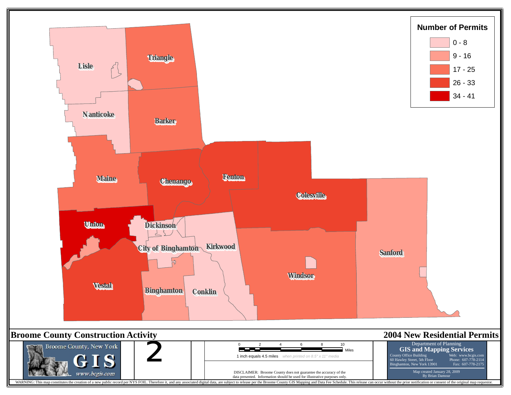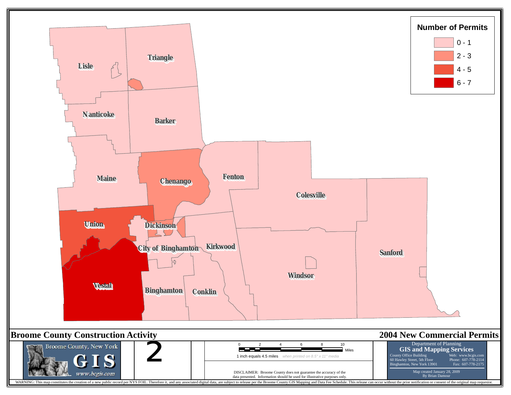